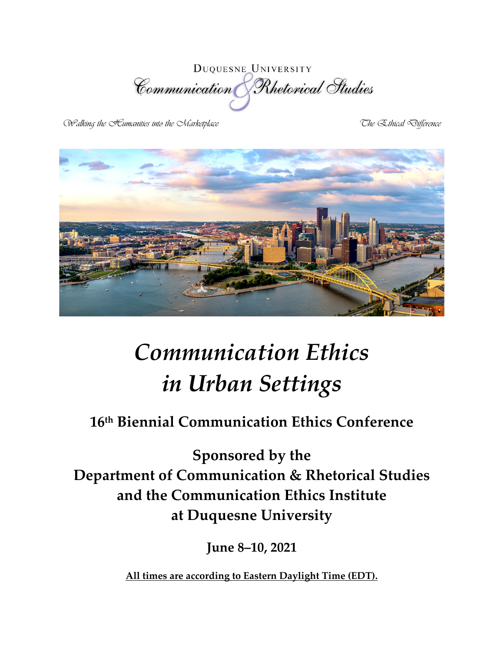**DUQUESNE UNIVERSITY** Communication Rhetorical Studies

Walking the Eumanities into the Marketplace The The Ethical Difference



# *Communication Ethics in Urban Settings*

# **16th Biennial Communication Ethics Conference**

**Sponsored by the Department of Communication & Rhetorical Studies and the Communication Ethics Institute at Duquesne University** 

**June 8–10, 2021**

**All times are according to Eastern Daylight Time (EDT).**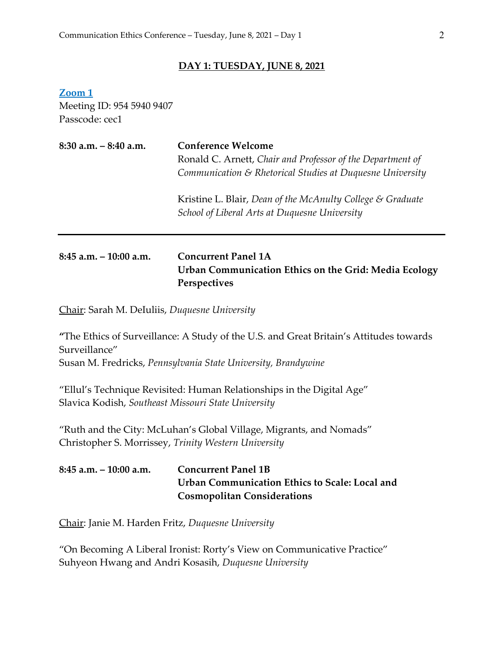#### **DAY 1: TUESDAY, JUNE 8, 2021**

**Zoom 1** Meeting ID: 954 5940 9407 Passcode: cec1

| $8:30$ a.m. $-8:40$ a.m.  | <b>Conference Welcome</b><br>Ronald C. Arnett, Chair and Professor of the Department of<br>Communication & Rhetorical Studies at Duquesne University |  |
|---------------------------|------------------------------------------------------------------------------------------------------------------------------------------------------|--|
|                           | Kristine L. Blair, Dean of the McAnulty College & Graduate<br>School of Liberal Arts at Duquesne University                                          |  |
| $8:45$ a.m. $-10:00$ a.m. | <b>Concurrent Panel 1A</b><br>Urban Communication Ethics on the Grid: Media Ecology                                                                  |  |

Chair: Sarah M. DeIuliis, *Duquesne University*

**"**The Ethics of Surveillance: A Study of the U.S. and Great Britain's Attitudes towards Surveillance" Susan M. Fredricks, *Pennsylvania State University, Brandywine*

"Ellul's Technique Revisited: Human Relationships in the Digital Age" Slavica Kodish, *Southeast Missouri State University*

**Perspectives**

"Ruth and the City: McLuhan's Global Village, Migrants, and Nomads" Christopher S. Morrissey, *Trinity Western University*

#### **8:45 a.m. – 10:00 a.m. Concurrent Panel 1B Urban Communication Ethics to Scale: Local and Cosmopolitan Considerations**

Chair: Janie M. Harden Fritz, *Duquesne University*

"On Becoming A Liberal Ironist: Rorty's View on Communicative Practice" Suhyeon Hwang and Andri Kosasih, *Duquesne University*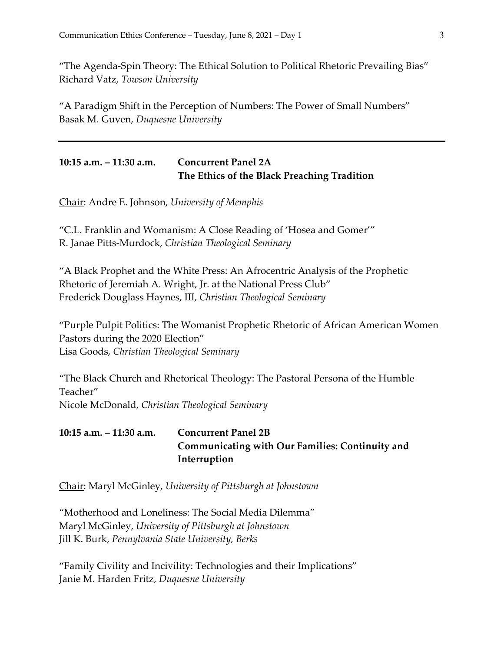"The Agenda-Spin Theory: The Ethical Solution to Political Rhetoric Prevailing Bias" Richard Vatz, *Towson University*

"A Paradigm Shift in the Perception of Numbers: The Power of Small Numbers" Basak M. Guven, *Duquesne University*

#### **10:15 a.m. – 11:30 a.m. Concurrent Panel 2A The Ethics of the Black Preaching Tradition**

Chair: Andre E. Johnson, *University of Memphis*

"C.L. Franklin and Womanism: A Close Reading of 'Hosea and Gomer'" R. Janae Pitts-Murdock, *Christian Theological Seminary*

"A Black Prophet and the White Press: An Afrocentric Analysis of the Prophetic Rhetoric of Jeremiah A. Wright, Jr. at the National Press Club" Frederick Douglass Haynes, III, *Christian Theological Seminary*

"Purple Pulpit Politics: The Womanist Prophetic Rhetoric of African American Women Pastors during the 2020 Election" Lisa Goods, *Christian Theological Seminary*

"The Black Church and Rhetorical Theology: The Pastoral Persona of the Humble Teacher" Nicole McDonald, *Christian Theological Seminary*

#### **10:15 a.m. – 11:30 a.m. Concurrent Panel 2B Communicating with Our Families: Continuity and Interruption**

Chair: Maryl McGinley, *University of Pittsburgh at Johnstown*

"Motherhood and Loneliness: The Social Media Dilemma" Maryl McGinley, *University of Pittsburgh at Johnstown* Jill K. Burk, *Pennylvania State University, Berks*

"Family Civility and Incivility: Technologies and their Implications" Janie M. Harden Fritz, *Duquesne University*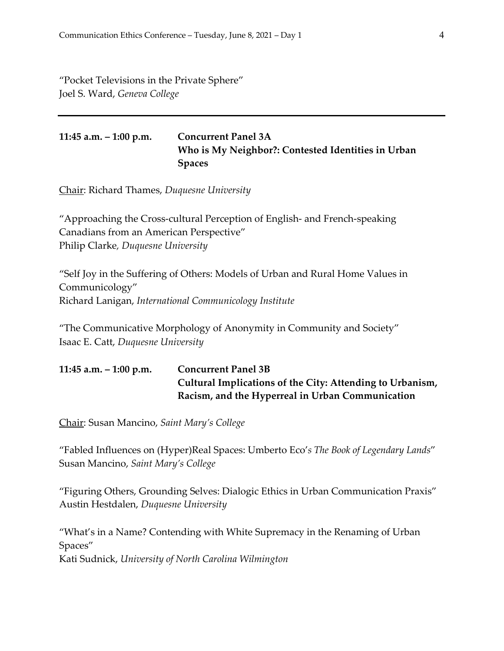"Pocket Televisions in the Private Sphere" Joel S. Ward, *Geneva College*

**11:45 a.m. – 1:00 p.m. Concurrent Panel 3A Who is My Neighbor?: Contested Identities in Urban Spaces**

Chair: Richard Thames, *Duquesne University*

"Approaching the Cross-cultural Perception of English- and French-speaking Canadians from an American Perspective" Philip Clarke*, Duquesne University*

"Self Joy in the Suffering of Others: Models of Urban and Rural Home Values in Communicology" Richard Lanigan, *International Communicology Institute*

"The Communicative Morphology of Anonymity in Community and Society" Isaac E. Catt, *Duquesne University*

| 11:45 a.m. $-$ 1:00 p.m. | <b>Concurrent Panel 3B</b>                                |
|--------------------------|-----------------------------------------------------------|
|                          | Cultural Implications of the City: Attending to Urbanism, |
|                          | Racism, and the Hyperreal in Urban Communication          |

Chair: Susan Mancino, *Saint Mary's College*

"Fabled Influences on (Hyper)Real Spaces: Umberto Eco'*s The Book of Legendary Lands*" Susan Mancino, *Saint Mary's College*

"Figuring Others, Grounding Selves: Dialogic Ethics in Urban Communication Praxis" Austin Hestdalen, *Duquesne University*

"What's in a Name? Contending with White Supremacy in the Renaming of Urban Spaces"

Kati Sudnick, *University of North Carolina Wilmington*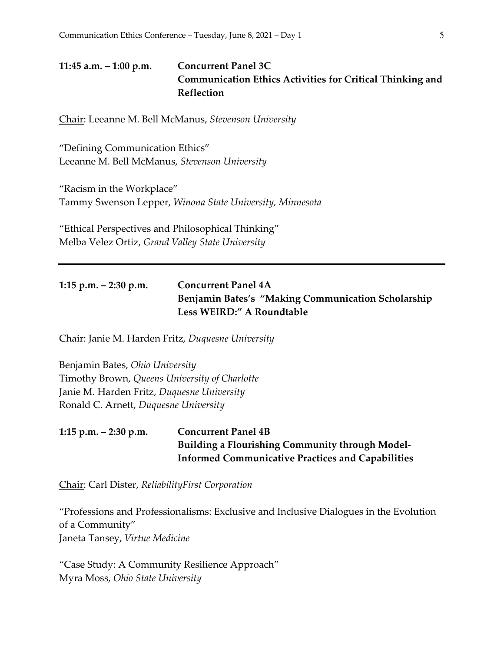**11:45 a.m. – 1:00 p.m. Concurrent Panel 3C Communication Ethics Activities for Critical Thinking and Reflection**

Chair: Leeanne M. Bell McManus, *Stevenson University*

"Defining Communication Ethics" Leeanne M. Bell McManus, *Stevenson University*

"Racism in the Workplace" Tammy Swenson Lepper, *Winona State University, Minnesota*

"Ethical Perspectives and Philosophical Thinking" Melba Velez Ortiz, *Grand Valley State University*

#### **1:15 p.m. – 2:30 p.m. Concurrent Panel 4A Benjamin Bates's "Making Communication Scholarship Less WEIRD:" A Roundtable**

Chair: Janie M. Harden Fritz, *Duquesne University*

Benjamin Bates, *Ohio University* Timothy Brown, *Queens University of Charlotte* Janie M. Harden Fritz, *Duquesne University* Ronald C. Arnett, *Duquesne University*

#### **1:15 p.m. – 2:30 p.m. Concurrent Panel 4B Building a Flourishing Community through Model-Informed Communicative Practices and Capabilities**

Chair: Carl Dister, *ReliabilityFirst Corporation*

"Professions and Professionalisms: Exclusive and Inclusive Dialogues in the Evolution of a Community" Janeta Tansey, *Virtue Medicine*

"Case Study: A Community Resilience Approach" Myra Moss, *Ohio State University*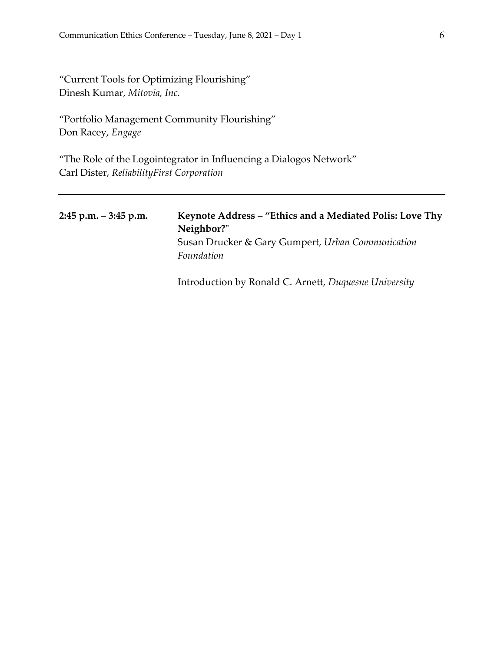"Current Tools for Optimizing Flourishing" Dinesh Kumar, *Mitovia, Inc.*

"Portfolio Management Community Flourishing" Don Racey, *Engage*

"The Role of the Logointegrator in Influencing a Dialogos Network" Carl Dister, *ReliabilityFirst Corporation*

| $2:45$ p.m. $-3:45$ p.m. | Keynote Address – "Ethics and a Mediated Polis: Love Thy |
|--------------------------|----------------------------------------------------------|
|                          | Neighbor?"                                               |
|                          | Susan Drucker & Gary Gumpert, Urban Communication        |
|                          | Foundation                                               |
|                          |                                                          |

Introduction by Ronald C. Arnett, *Duquesne University*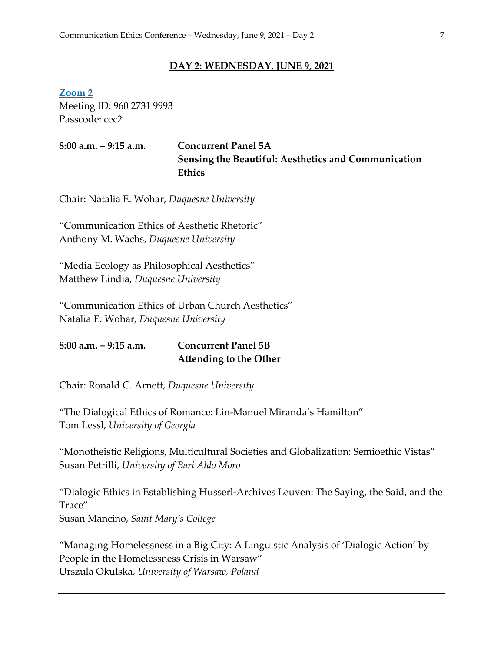#### **DAY 2: WEDNESDAY, JUNE 9, 2021**

**Zoom 2** Meeting ID: 960 2731 9993 Passcode: cec2

**8:00 a.m. – 9:15 a.m. Concurrent Panel 5A Sensing the Beautiful: Aesthetics and Communication Ethics**

Chair: Natalia E. Wohar, *Duquesne University*

"Communication Ethics of Aesthetic Rhetoric" Anthony M. Wachs, *Duquesne University*

"Media Ecology as Philosophical Aesthetics" Matthew Lindia, *Duquesne University*

"Communication Ethics of Urban Church Aesthetics" Natalia E. Wohar, *Duquesne University*

**8:00 a.m. – 9:15 a.m. Concurrent Panel 5B Attending to the Other**

Chair: Ronald C. Arnett, *Duquesne University*

"The Dialogical Ethics of Romance: Lin-Manuel Miranda's Hamilton" Tom Lessl, *University of Georgia*

"Monotheistic Religions, Multicultural Societies and Globalization: Semioethic Vistas" Susan Petrilli, *University of Bari Aldo Moro*

"Dialogic Ethics in Establishing Husserl-Archives Leuven: The Saying, the Said, and the Trace" Susan Mancino, *Saint Mary's College*

"Managing Homelessness in a Big City: A Linguistic Analysis of 'Dialogic Action' by People in the Homelessness Crisis in Warsaw" Urszula Okulska, *University of Warsaw, Poland*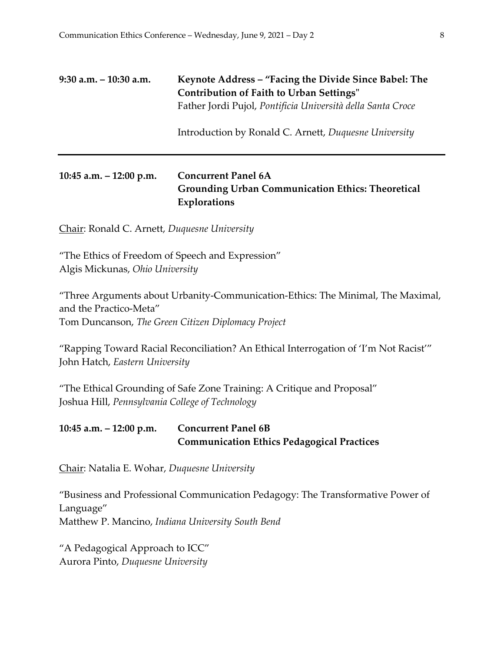#### **9:30 a.m. – 10:30 a.m. Keynote Address – "Facing the Divide Since Babel: The Contribution of Faith to Urban Settings"** Father Jordi Pujol, *Pontificia Università della Santa Croce*

Introduction by Ronald C. Arnett, *Duquesne University*

#### **10:45 a.m. – 12:00 p.m. Concurrent Panel 6A Grounding Urban Communication Ethics: Theoretical Explorations**

Chair: Ronald C. Arnett, *Duquesne University*

"The Ethics of Freedom of Speech and Expression" Algis Mickunas, *Ohio University*

"Three Arguments about Urbanity-Communication-Ethics: The Minimal, The Maximal, and the Practico-Meta" Tom Duncanson, *The Green Citizen Diplomacy Project*

"Rapping Toward Racial Reconciliation? An Ethical Interrogation of 'I'm Not Racist'" John Hatch, *Eastern University*

"The Ethical Grounding of Safe Zone Training: A Critique and Proposal" Joshua Hill, *Pennsylvania College of Technology*

#### **10:45 a.m. – 12:00 p.m. Concurrent Panel 6B Communication Ethics Pedagogical Practices**

Chair: Natalia E. Wohar, *Duquesne University*

"Business and Professional Communication Pedagogy: The Transformative Power of Language" Matthew P. Mancino, *Indiana University South Bend*

"A Pedagogical Approach to ICC" Aurora Pinto, *Duquesne University*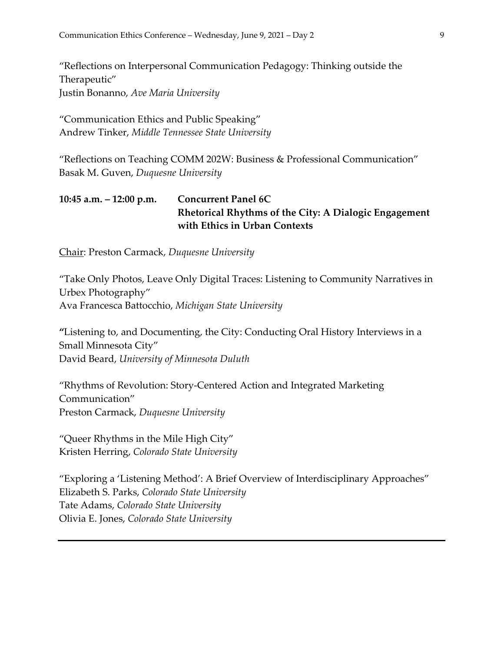"Reflections on Interpersonal Communication Pedagogy: Thinking outside the Therapeutic" Justin Bonanno, *Ave Maria University*

"Communication Ethics and Public Speaking" Andrew Tinker, *Middle Tennessee State University*

"Reflections on Teaching COMM 202W: Business & Professional Communication" Basak M. Guven, *Duquesne University*

#### **10:45 a.m. – 12:00 p.m. Concurrent Panel 6C Rhetorical Rhythms of the City: A Dialogic Engagement with Ethics in Urban Contexts**

Chair: Preston Carmack, *Duquesne University*

"Take Only Photos, Leave Only Digital Traces: Listening to Community Narratives in Urbex Photography" Ava Francesca Battocchio, *Michigan State University*

**"**Listening to, and Documenting, the City: Conducting Oral History Interviews in a Small Minnesota City" David Beard, *University of Minnesota Duluth*

"Rhythms of Revolution: Story-Centered Action and Integrated Marketing Communication" Preston Carmack, *Duquesne University*

"Queer Rhythms in the Mile High City" Kristen Herring, *Colorado State University*

"Exploring a 'Listening Method': A Brief Overview of Interdisciplinary Approaches" Elizabeth S. Parks, *Colorado State University* Tate Adams, *Colorado State University* Olivia E. Jones, *Colorado State University*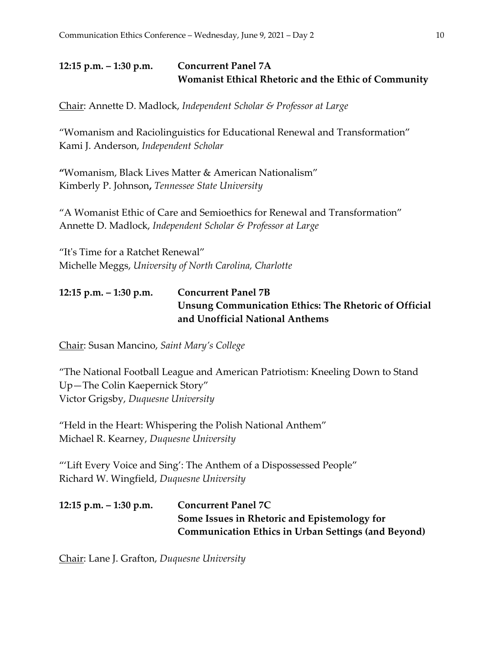# **12:15 p.m. – 1:30 p.m. Concurrent Panel 7A Womanist Ethical Rhetoric and the Ethic of Community**

Chair: Annette D. Madlock, *Independent Scholar & Professor at Large*

"Womanism and Raciolinguistics for Educational Renewal and Transformation" Kami J. Anderson, *Independent Scholar* 

**"**Womanism, Black Lives Matter & American Nationalism" Kimberly P. Johnson**,** *Tennessee State University*

"A Womanist Ethic of Care and Semioethics for Renewal and Transformation" Annette D. Madlock, *Independent Scholar & Professor at Large* 

"It's Time for a Ratchet Renewal" Michelle Meggs, *University of North Carolina, Charlotte*

# **12:15 p.m. – 1:30 p.m. Concurrent Panel 7B Unsung Communication Ethics: The Rhetoric of Official and Unofficial National Anthems**

Chair: Susan Mancino, *Saint Mary's College*

"The National Football League and American Patriotism: Kneeling Down to Stand Up—The Colin Kaepernick Story" Victor Grigsby, *Duquesne University*

"Held in the Heart: Whispering the Polish National Anthem" Michael R. Kearney, *Duquesne University*

"'Lift Every Voice and Sing': The Anthem of a Dispossessed People" Richard W. Wingfield, *Duquesne University*

```
12:15 p.m. – 1:30 p.m. Concurrent Panel 7C
            Some Issues in Rhetoric and Epistemology for 
            Communication Ethics in Urban Settings (and Beyond)
```
Chair: Lane J. Grafton, *Duquesne University*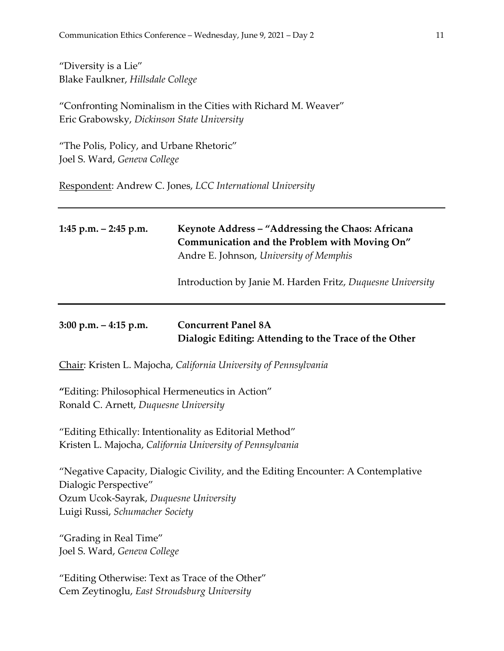"Diversity is a Lie" Blake Faulkner, *Hillsdale College*

"Confronting Nominalism in the Cities with Richard M. Weaver" Eric Grabowsky, *Dickinson State University*

"The Polis, Policy, and Urbane Rhetoric" Joel S. Ward, *Geneva College*

Respondent: Andrew C. Jones, *LCC International University*

| 1:45 p.m. $-$ 2:45 p.m.                                                                                                                                                                | Keynote Address - "Addressing the Chaos: Africana<br>Communication and the Problem with Moving On"<br>Andre E. Johnson, University of Memphis<br>Introduction by Janie M. Harden Fritz, Duquesne University |  |
|----------------------------------------------------------------------------------------------------------------------------------------------------------------------------------------|-------------------------------------------------------------------------------------------------------------------------------------------------------------------------------------------------------------|--|
| $3:00$ p.m. $-4:15$ p.m.                                                                                                                                                               | <b>Concurrent Panel 8A</b><br>Dialogic Editing: Attending to the Trace of the Other                                                                                                                         |  |
| Chair: Kristen L. Majocha, California University of Pennsylvania                                                                                                                       |                                                                                                                                                                                                             |  |
| "Editing: Philosophical Hermeneutics in Action"<br>Ronald C. Arnett, Duquesne University                                                                                               |                                                                                                                                                                                                             |  |
| "Editing Ethically: Intentionality as Editorial Method"<br>Kristen L. Majocha, California University of Pennsylvania                                                                   |                                                                                                                                                                                                             |  |
| "Negative Capacity, Dialogic Civility, and the Editing Encounter: A Contemplative<br>Dialogic Perspective"<br>Ozum Ucok-Sayrak, Duquesne University<br>Luigi Russi, Schumacher Society |                                                                                                                                                                                                             |  |
| "Grading in Real Time"<br>Joel S. Ward, Geneva College                                                                                                                                 |                                                                                                                                                                                                             |  |
| "Editing Otherwise: Text as Trace of the Other"<br>Cem Zeytinoglu, East Stroudsburg University                                                                                         |                                                                                                                                                                                                             |  |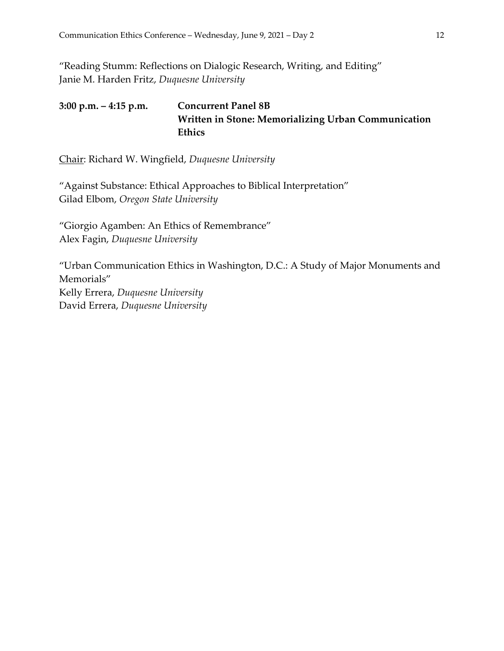"Reading Stumm: Reflections on Dialogic Research, Writing, and Editing" Janie M. Harden Fritz, *Duquesne University*

**3:00 p.m. – 4:15 p.m. Concurrent Panel 8B Written in Stone: Memorializing Urban Communication Ethics**

Chair: Richard W. Wingfield, *Duquesne University*

"Against Substance: Ethical Approaches to Biblical Interpretation" Gilad Elbom, *Oregon State University*

"Giorgio Agamben: An Ethics of Remembrance" Alex Fagin, *Duquesne University*

"Urban Communication Ethics in Washington, D.C.: A Study of Major Monuments and Memorials" Kelly Errera, *Duquesne University* David Errera, *Duquesne University*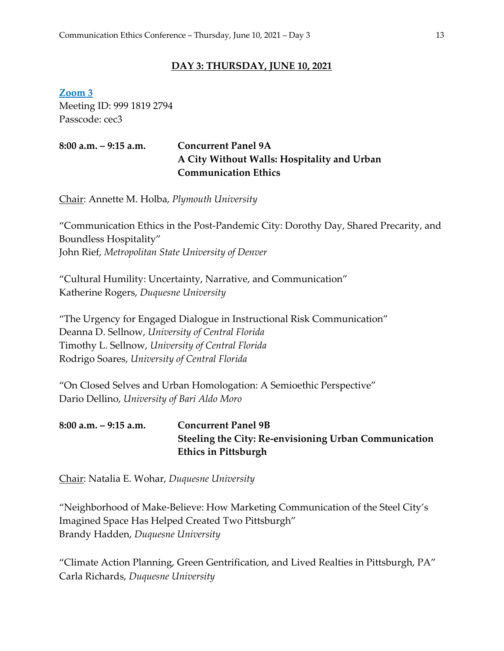#### **DAY 3: THURSDAY, JUNE 10, 2021**

**Zoom 3** Meeting ID: 999 1819 2794 Passcode: cec3

#### **8:00 a.m. – 9:15 a.m. Concurrent Panel 9A A City Without Walls: Hospitality and Urban Communication Ethics**

Chair: Annette M. Holba, *Plymouth University*

"Communication Ethics in the Post-Pandemic City: Dorothy Day, Shared Precarity, and Boundless Hospitality" John Rief, *Metropolitan State University of Denver*

"Cultural Humility: Uncertainty, Narrative, and Communication" Katherine Rogers, *Duquesne University*

"The Urgency for Engaged Dialogue in Instructional Risk Communication" Deanna D. Sellnow, *University of Central Florida* Timothy L. Sellnow, *University of Central Florida* Rodrigo Soares, *University of Central Florida*

"On Closed Selves and Urban Homologation: A Semioethic Perspective" Dario Dellino, *University of Bari Aldo Moro*

# **8:00 a.m. – 9:15 a.m. Concurrent Panel 9B Steeling the City: Re-envisioning Urban Communication Ethics in Pittsburgh**

Chair: Natalia E. Wohar, *Duquesne University*

"Neighborhood of Make-Believe: How Marketing Communication of the Steel City's Imagined Space Has Helped Created Two Pittsburgh" Brandy Hadden, *Duquesne University*

"Climate Action Planning, Green Gentrification, and Lived Realties in Pittsburgh, PA" Carla Richards, *Duquesne University*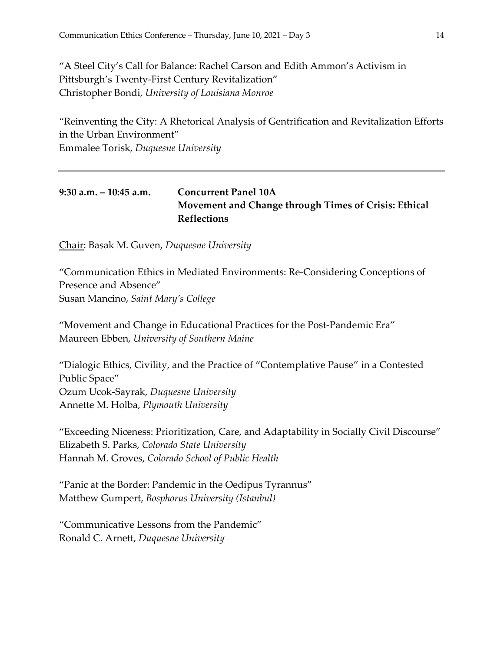"A Steel City's Call for Balance: Rachel Carson and Edith Ammon's Activism in Pittsburgh's Twenty-First Century Revitalization" Christopher Bondi, *University of Louisiana Monroe*

"Reinventing the City: A Rhetorical Analysis of Gentrification and Revitalization Efforts in the Urban Environment" Emmalee Torisk, *Duquesne University*

#### **9:30 a.m. – 10:45 a.m. Concurrent Panel 10A Movement and Change through Times of Crisis: Ethical Reflections**

Chair: Basak M. Guven, *Duquesne University*

"Communication Ethics in Mediated Environments: Re-Considering Conceptions of Presence and Absence" Susan Mancino, *Saint Mary's College*

"Movement and Change in Educational Practices for the Post-Pandemic Era" Maureen Ebben, *University of Southern Maine*

"Dialogic Ethics, Civility, and the Practice of "Contemplative Pause" in a Contested Public Space" Ozum Ucok-Sayrak, *Duquesne University* Annette M. Holba, *Plymouth University*

"Exceeding Niceness: Prioritization, Care, and Adaptability in Socially Civil Discourse" Elizabeth S. Parks, *Colorado State University*  Hannah M. Groves, *Colorado School of Public Health*

"Panic at the Border: Pandemic in the Oedipus Tyrannus" Matthew Gumpert, *Bosphorus University (Istanbul)*

"Communicative Lessons from the Pandemic" Ronald C. Arnett, *Duquesne University*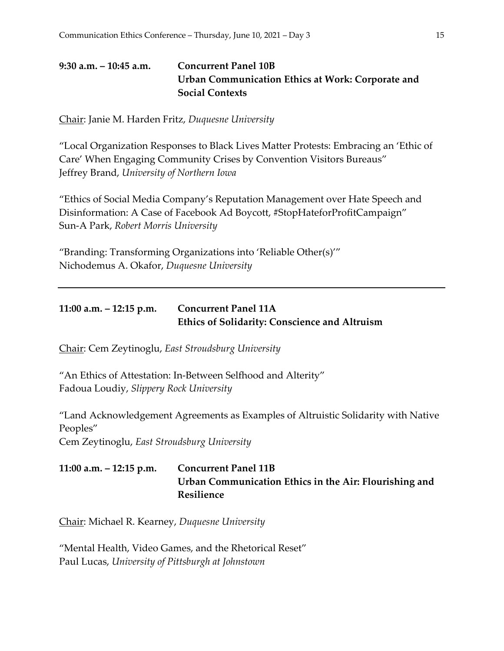# **9:30 a.m. – 10:45 a.m. Concurrent Panel 10B Urban Communication Ethics at Work: Corporate and Social Contexts**

Chair: Janie M. Harden Fritz, *Duquesne University*

"Local Organization Responses to Black Lives Matter Protests: Embracing an 'Ethic of Care' When Engaging Community Crises by Convention Visitors Bureaus" Jeffrey Brand, *University of Northern Iowa*

"Ethics of Social Media Company's Reputation Management over Hate Speech and Disinformation: A Case of Facebook Ad Boycott, #StopHateforProfitCampaign" Sun-A Park, *Robert Morris University*

"Branding: Transforming Organizations into 'Reliable Other(s)'" Nichodemus A. Okafor, *Duquesne University*

#### **11:00 a.m. – 12:15 p.m. Concurrent Panel 11A Ethics of Solidarity: Conscience and Altruism**

Chair: Cem Zeytinoglu, *East Stroudsburg University*

"An Ethics of Attestation: In-Between Selfhood and Alterity" Fadoua Loudiy, *Slippery Rock University*

"Land Acknowledgement Agreements as Examples of Altruistic Solidarity with Native Peoples"

Cem Zeytinoglu, *East Stroudsburg University*

# **11:00 a.m. – 12:15 p.m. Concurrent Panel 11B Urban Communication Ethics in the Air: Flourishing and Resilience**

Chair: Michael R. Kearney, *Duquesne University*

"Mental Health, Video Games, and the Rhetorical Reset" Paul Lucas, *University of Pittsburgh at Johnstown*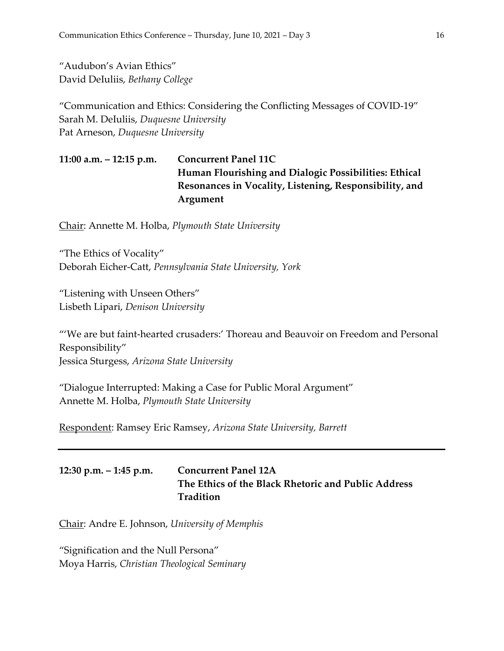"Audubon's Avian Ethics" David DeIuliis, *Bethany College*

"Communication and Ethics: Considering the Conflicting Messages of COVID-19" Sarah M. DeIuliis, *Duquesne University* Pat Arneson, *Duquesne University*

**11:00 a.m. – 12:15 p.m. Concurrent Panel 11C Human Flourishing and Dialogic Possibilities: Ethical Resonances in Vocality, Listening, Responsibility, and Argument**

Chair: Annette M. Holba, *Plymouth State University*

"The Ethics of Vocality" Deborah Eicher-Catt, *Pennsylvania State University, York*

"Listening with Unseen Others" Lisbeth Lipari, *Denison University*

"'We are but faint-hearted crusaders:' Thoreau and Beauvoir on Freedom and Personal Responsibility" Jessica Sturgess, *Arizona State University*

"Dialogue Interrupted: Making a Case for Public Moral Argument" Annette M. Holba, *Plymouth State University*

Respondent: Ramsey Eric Ramsey, *Arizona State University, Barrett*

# **12:30 p.m. – 1:45 p.m. Concurrent Panel 12A The Ethics of the Black Rhetoric and Public Address Tradition**

Chair: Andre E. Johnson, *University of Memphis*

"Signification and the Null Persona" Moya Harris, *Christian Theological Seminary*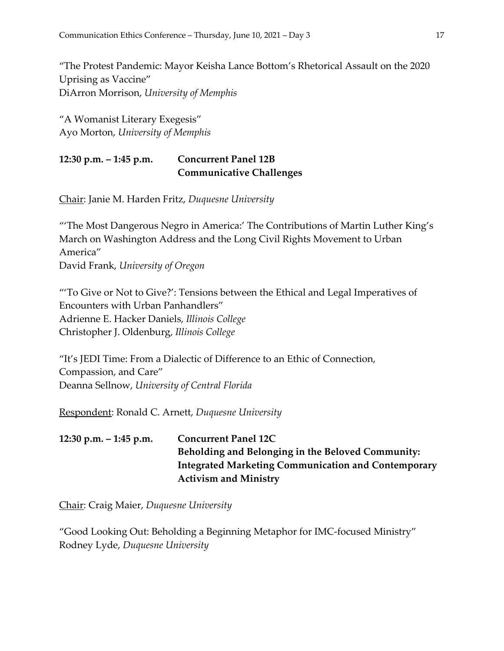"The Protest Pandemic: Mayor Keisha Lance Bottom's Rhetorical Assault on the 2020 Uprising as Vaccine" DiArron Morrison, *University of Memphis*

"A Womanist Literary Exegesis" Ayo Morton, *University of Memphis*

#### **12:30 p.m. – 1:45 p.m. Concurrent Panel 12B Communicative Challenges**

Chair: Janie M. Harden Fritz, *Duquesne University*

"'The Most Dangerous Negro in America:' The Contributions of Martin Luther King's March on Washington Address and the Long Civil Rights Movement to Urban America" David Frank, *University of Oregon*

"'To Give or Not to Give?': Tensions between the Ethical and Legal Imperatives of Encounters with Urban Panhandlers" Adrienne E. Hacker Daniels, *Illinois College* Christopher J. Oldenburg, *Illinois College*

"It's JEDI Time: From a Dialectic of Difference to an Ethic of Connection, Compassion, and Care" Deanna Sellnow, *University of Central Florida*

Respondent: Ronald C. Arnett, *Duquesne University*

**12:30 p.m. – 1:45 p.m. Concurrent Panel 12C Beholding and Belonging in the Beloved Community: Integrated Marketing Communication and Contemporary Activism and Ministry**

Chair: Craig Maier, *Duquesne University*

"Good Looking Out: Beholding a Beginning Metaphor for IMC-focused Ministry" Rodney Lyde, *Duquesne University*